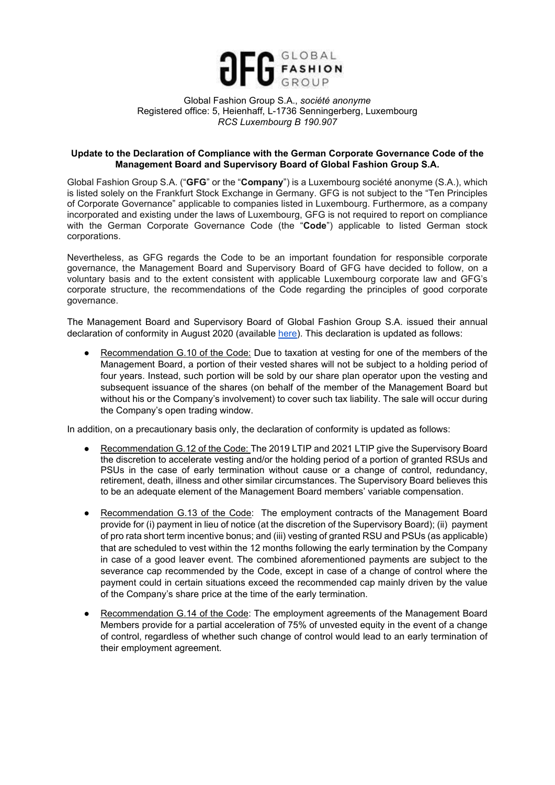

## Global Fashion Group S.A., *société anonyme* Registered office: 5, Heienhaff, L-1736 Senningerberg, Luxembourg *RCS Luxembourg B 190.907*

## **Update to the Declaration of Compliance with the German Corporate Governance Code of the Management Board and Supervisory Board of Global Fashion Group S.A.**

Global Fashion Group S.A. ("**GFG**" or the "**Company**") is a Luxembourg société anonyme (S.A.), which is listed solely on the Frankfurt Stock Exchange in Germany. GFG is not subject to the "Ten Principles of Corporate Governance" applicable to companies listed in Luxembourg. Furthermore, as a company incorporated and existing under the laws of Luxembourg, GFG is not required to report on compliance with the German Corporate Governance Code (the "**Code**") applicable to listed German stock corporations.

Nevertheless, as GFG regards the Code to be an important foundation for responsible corporate governance, the Management Board and Supervisory Board of GFG have decided to follow, on a voluntary basis and to the extent consistent with applicable Luxembourg corporate law and GFG's corporate structure, the recommendations of the Code regarding the principles of good corporate governance.

The Management Board and Supervisory Board of Global Fashion Group S.A. issued their annual declaration of conformity in August 2020 (available [here\)](https://ir.global-fashion-group.com/download/companies/globalfashion/CorporateGovernance/Declaration_of_Compliance_GFG_2020%20Final.pdf). This declaration is updated as follows:

Recommendation G.10 of the Code: Due to taxation at vesting for one of the members of the Management Board, a portion of their vested shares will not be subject to a holding period of four years. Instead, such portion will be sold by our share plan operator upon the vesting and subsequent issuance of the shares (on behalf of the member of the Management Board but without his or the Company's involvement) to cover such tax liability. The sale will occur during the Company's open trading window.

In addition, on a precautionary basis only, the declaration of conformity is updated as follows:

- Recommendation G.12 of the Code: The 2019 LTIP and 2021 LTIP give the Supervisory Board the discretion to accelerate vesting and/or the holding period of a portion of granted RSUs and PSUs in the case of early termination without cause or a change of control, redundancy, retirement, death, illness and other similar circumstances. The Supervisory Board believes this to be an adequate element of the Management Board members' variable compensation.
- Recommendation G.13 of the Code: The employment contracts of the Management Board provide for (i) payment in lieu of notice (at the discretion of the Supervisory Board); (ii) payment of pro rata short term incentive bonus; and (iii) vesting of granted RSU and PSUs (as applicable) that are scheduled to vest within the 12 months following the early termination by the Company in case of a good leaver event. The combined aforementioned payments are subject to the severance cap recommended by the Code, except in case of a change of control where the payment could in certain situations exceed the recommended cap mainly driven by the value of the Company's share price at the time of the early termination.
- Recommendation G.14 of the Code: The employment agreements of the Management Board Members provide for a partial acceleration of 75% of unvested equity in the event of a change of control, regardless of whether such change of control would lead to an early termination of their employment agreement.